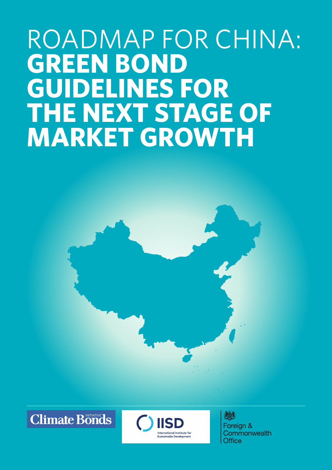# ROADMAP FOR CHINA: **GREEN BOND guidelines for the next stage of market growth**





心多 Foreign & Commonwealth Office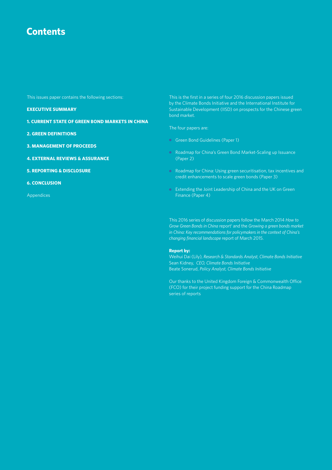### **Contents**

This issues paper contains the following sections:

**Executive Summary**

- **1. Current State of Green Bond Markets in China**
- **2. Green Definitions**
- **3. Management of Proceeds**
- **4. External Reviews & Assurance**
- **5. Reporting & Disclosure**
- **6. Conclusion**

Appendices

This is the first in a series of four 2016 discussion papers issued by the Climate Bonds Initiative and the International Institute for Sustainable Development (IISD) on prospects for the Chinese green bond market.

The four papers are:

- Green Bond Guidelines (Paper 1)
- Roadmap for China's Green Bond Market-Scaling up Issuance (Paper 2)
- Roadmap for China: Using green securitisation, tax incentives and credit enhancements to scale green bonds (Paper 3)
- **•** Extending the Joint Leadership of China and the UK on Green Finance (Paper 4)

This 2016 series of discussion papers follow the March 2014 *How to*  Grow Green Bonds in China report<sup>1</sup> and the Growing a green bonds market *in China: Key recommendations for policymakers in the context of China's changing financial landscape* report of March 2015.

#### **Report by:**

Weihui Dai (Lily), *Research & Standards Analyst, Climate Bonds Initiative* Sean Kidney, *CEO, Climate Bonds Initiative* Beate Sonerud, *Policy Analyst, Climate Bonds Initiative*

Our thanks to the United Kingdom Foreign & Commonwealth Office (FCO) for their project funding support for the China Roadmap series of reports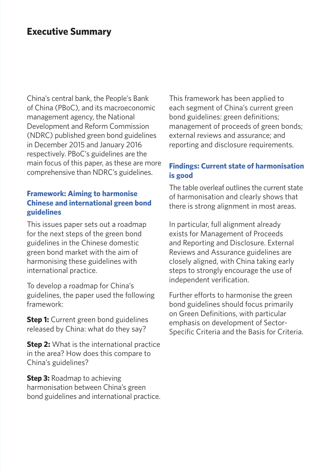### **Executive Summary**

China's central bank, the People's Bank of China (PBoC), and its macroeconomic management agency, the National Development and Reform Commission (NDRC) published green bond guidelines in December 2015 and January 2016 respectively. PBoC's guidelines are the main focus of this paper, as these are more comprehensive than NDRC's guidelines.

### **Framework: Aiming to harmonise Chinese and international green bond guidelines**

This issues paper sets out a roadmap for the next steps of the green bond guidelines in the Chinese domestic green bond market with the aim of harmonising these guidelines with international practice.

To develop a roadmap for China's guidelines, the paper used the following framework:

**Step 1:** Current green bond guidelines released by China: what do they say?

**Step 2:** What is the international practice in the area? How does this compare to China's guidelines?

**Step 3:** Roadmap to achieving harmonisation between China's green bond guidelines and international practice.

This framework has been applied to each segment of China's current green bond guidelines: green definitions; management of proceeds of green bonds; external reviews and assurance; and reporting and disclosure requirements.

### **Findings: Current state of harmonisation is good**

The table overleaf outlines the current state of harmonisation and clearly shows that there is strong alignment in most areas.

In particular, full alignment already exists for Management of Proceeds and Reporting and Disclosure. External Reviews and Assurance guidelines are closely aligned, with China taking early steps to strongly encourage the use of independent verification.

Further efforts to harmonise the green bond guidelines should focus primarily on Green Definitions, with particular emphasis on development of Sector-Specific Criteria and the Basis for Criteria.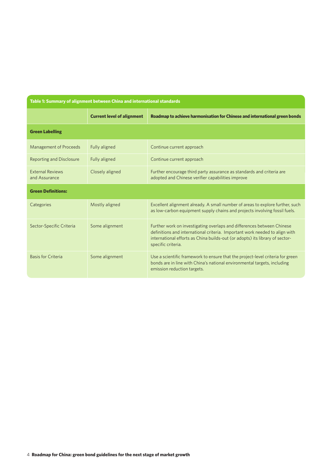| Table 1: Summary of alignment between China and international standards |                                   |                                                                                                                                                                                                                                                             |  |  |
|-------------------------------------------------------------------------|-----------------------------------|-------------------------------------------------------------------------------------------------------------------------------------------------------------------------------------------------------------------------------------------------------------|--|--|
|                                                                         | <b>Current level of alignment</b> | Roadmap to achieve harmonisation for Chinese and international green bonds                                                                                                                                                                                  |  |  |
| <b>Green Labelling</b>                                                  |                                   |                                                                                                                                                                                                                                                             |  |  |
| Management of Proceeds                                                  | Fully aligned                     | Continue current approach                                                                                                                                                                                                                                   |  |  |
| Reporting and Disclosure                                                | Fully aligned                     | Continue current approach                                                                                                                                                                                                                                   |  |  |
| <b>External Reviews</b><br>and Assurance                                | Closely aligned                   | Further encourage third party assurance as standards and criteria are<br>adopted and Chinese verifier capabilities improve                                                                                                                                  |  |  |
| <b>Green Definitions:</b>                                               |                                   |                                                                                                                                                                                                                                                             |  |  |
| Categories                                                              | Mostly aligned                    | Excellent alignment already. A small number of areas to explore further, such<br>as low-carbon equipment supply chains and projects involving fossil fuels.                                                                                                 |  |  |
| Sector-Specific Criteria                                                | Some alignment                    | Further work on investigating overlaps and differences between Chinese<br>definitions and international criteria. Important work needed to align with<br>international efforts as China builds-out (or adopts) its library of sector-<br>specific criteria. |  |  |
| <b>Basis for Criteria</b>                                               | Some alignment                    | Use a scientific framework to ensure that the project-level criteria for green<br>bonds are in line with China's national environmental targets, including<br>emission reduction targets.                                                                   |  |  |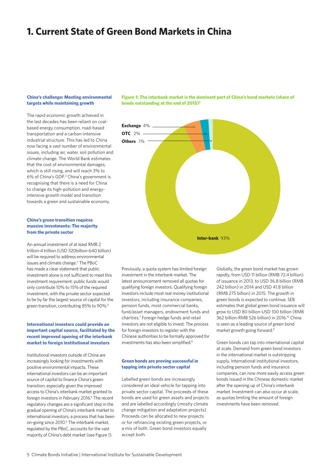### **1. Current State of Green Bond Markets in China**

#### **China's challenge: Meeting environmental targets while maintaining growth**

The rapid economic growth achieved in the last decades has been reliant on coalbased energy consumption, road-based transportation and a carbon-intensive industrial structure. This has led to China now facing a vast number of environmental issues, including air, water, soil pollution and climate change. The World Bank estimates that the cost of environmental damages, which is still rising, and will reach 3% to 6% of China's GDP. 2 China's government is recognising that there is a need for China to change its high-pollution and energyintensive growth model and transition towards a green and sustainable economy.

#### **China's green transition requires massive investments: The majority from the private sector**

An annual investment of at least RMB 2 trillion-4 trillion (USD 320billion-640 billion) will be required to address environmental issues and climate change.3 The PBoC has made a clear statement that public investment alone is not sufficient to meet this investment requirement: public funds would only contribute 10% to 15% of the required investment, with the private sector expected to be by far the largest source of capital for the green transition, contributing 85% to 90%.4

#### **International investors could provide an important capital source, facilitated by the recent improved opening of the interbank market to foreign institutional investors**

Institutional investors outside of China are increasingly looking for investments with positive environmental impacts. These international investors can be an important source of capital to finance China's green transition, especially given the improved access to China's interbank market granted to foreign investors in February 2016.<sup>5</sup> The recent regulatory changes are a significant step in the gradual opening of China's interbank market to international investors, a process that has been on-going since 2010.<sup>6</sup> The interbank market, regulated by the PBoC, accounts for the vast majority of China's debt market (see Figure 1).

**Figure 1: The interbank market is the dominant part of China's bond markets (share of bonds outstanding at the end of 2015)**<sup>9</sup>



Previously, a quota system has limited foreign investment in the interbank market. The latest announcement removed all quotas for qualifying foreign investors. Qualifying foreign investors include most real money institutional investors, including insurance companies, pension funds, most commercial banks, fund/asset managers, endowment funds and charities.7 Foreign hedge funds and retail investors are not eligible to invest. The process for foreign investors to register with the Chinese authorities to be formally approved for investments has also been simplified.<sup>8</sup>

#### **Green bonds are proving successful in tapping into private sector capital**

Labelled green bonds are increasingly considered an ideal vehicle for tapping into private sector capital. The proceeds of these bonds are used for green assets and projects and are labelled accordingly (mostly climate change mitigation and adaptation projects). Proceeds can be allocated to new projects or for refinancing existing green projects, or a mix of both. Green bond investors equally accept both.

Globally, the green bond market has grown rapidly, from USD 11 billion (RMB 72.4 billion) of issuance in 2013, to USD 36.8 billion (RMB 242 billion) in 2014 and USD 41.8 billion (RMB 275 billion) in 2015. The growth in green bonds is expected to continue. SEB estimates that global green bond issuance will grow to USD 80 billion-USD 100 billion (RMB 362 billion-RMB 526 billion) in 2016.10 China is seen as a leading source of green bond market growth going forward.<sup>11</sup>

Green bonds can tap into international capital at scale. Demand from green bond investors in the international market is outstripping supply. International institutional investors, including pension funds and insurance companies, can now more easily access green bonds issued in the Chinese domestic market after the opening up of China's interbank market. Investment can also occur at scale, as quotas limiting the amount of foreign investments have been removed.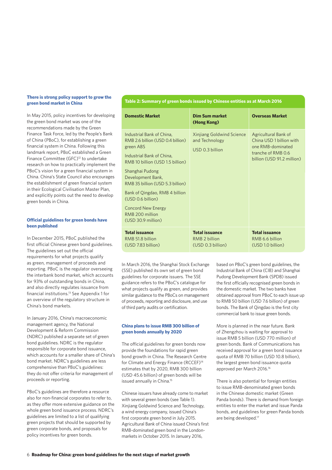#### **There is strong policy support to grow the green bond market in China**

In May 2015, policy incentives for developing the green bond market was one of the recommendations made by the Green Finance Task Force, led by the People's Bank of China (PBoC), for establishing a green financial system in China. Following this landmark report, PBoC established a Green Finance Committee (GFC)<sup>12</sup> to undertake research on how to practically implement the PBoC's vision for a green financial system in China. China's State Council also encourages the establishment of green financial system in their Ecological Civilisation Master Plan, and explicitly points out the need to develop green bonds in China.

#### **Official guidelines for green bonds have been published**

In December 2015, PBoC published the first official Chinese green bond guidelines. The guidelines set out the official requirements for what projects qualify as green, management of proceeds and reporting. PBoC is the regulator overseeing the interbank bond market, which accounts for 93% of outstanding bonds in China, and also directly regulates issuance from financial institutions.13 See Appendix 1 for an overview of the regulatory structure in China's bond markets.

In January 2016, China's macroeconomic management agency, the National Development & Reform Commission (NDRC) published a separate set of green bond guidelines. NDRC is the regulator responsible for corporate bond issuance, which accounts for a smaller share of China's bond market. NDRC's guidelines are less comprehensive than PBoC's guidelines: they do not offer criteria for management of proceeds or reporting.

PBoC's guidelines are therefore a resource also for non-financial corporates to refer to, as they offer more extensive guidance on the whole green bond issuance process. NDRC's guidelines are limited to a list of qualifying green projects that should be supported by green corporate bonds, and proposals for policy incentives for green bonds.

#### **Table 2: Summary of green bonds issued by Chinese entities as at March 2016**

| <b>Domestic Market</b>                                                                                                                                                                                                                                                                                                                                | <b>Dim Sum market</b><br>(Hong Kong)                           | <b>Overseas Market</b>                                                                                                    |  |
|-------------------------------------------------------------------------------------------------------------------------------------------------------------------------------------------------------------------------------------------------------------------------------------------------------------------------------------------------------|----------------------------------------------------------------|---------------------------------------------------------------------------------------------------------------------------|--|
| Industrial Bank of China,<br>RMB 2.6 billion (USD 0.4 billion)<br>green ABS<br>Industrial Bank of China.<br>RMB 10 billion (USD 1.5 billion)<br>Shanghai Pudong<br>Development Bank,<br>RMB 35 billion (USD 5.3 billion)<br>Bank of Qingdao, RMB 4 billion<br>(USD 0.6 billion)<br><b>Concord New Energy</b><br>RMB 200 million<br>(USD 30.9 million) | Xinjiang Goldwind Science<br>and Technology<br>USD 0.3 billion | Agricultural Bank of<br>China USD 1 billion with<br>one RMB-dominated<br>tranche of RMB 0.6<br>billion (USD 91.2 million) |  |
| <b>Total issuance</b><br>RMB 51.8 billion<br>(USD 7.83 billion)                                                                                                                                                                                                                                                                                       | <b>Total issuance</b><br>RMB 2 billion<br>(USD 0.3 billion)    | <b>Total issuance</b><br>RMB 6.6 billion<br>(USD 1.0 billion)                                                             |  |

In March 2016, the Shanghai Stock Exchange (SSE) published its own set of green bond guidelines for corporate issuers. The SSE guidance refers to the PBoC's catalogue for what projects qualify as green, and provides similar guidance to the PBoCs on management of proceeds, reporting and disclosure, and use of third party audits or certification.

#### **China plans to issue RMB 300 billion of green bonds annually by 2020**

The official guidelines for green bonds now provide the foundations for rapid green bond growth in China. The Research Centre for Climate and Energy Finance (RCCEF)<sup>14</sup> estimates that by 2020, RMB 300 billion (USD 45.6 billion) of green bonds will be issued annually in China.15

Chinese issuers have already come to market with several green bonds (see Table 1). Xinjiang Goldwind Science and Technology, a wind energy company, issued China's first corporate green bond in July 2015. Agricultural Bank of China issued China's first RMB-dominated green bond in the Londonmarkets in October 2015. In January 2016,

based on PBoC's green bond guidelines, the Industrial Bank of China (CIB) and Shanghai Pudong Development Bank (SPDB) issued the first officially recognised green bonds in the domestic market. The two banks have obtained approval from PBoC to each issue up to RMB 50 billion (USD 7.6 billion) of green bonds. The Bank of Qingdao is the first city commercial bank to issue green bonds.

More is planned in the near future. Bank of Zhengzhou is waiting for approval to issue RMB 5 billion (USD 770 million) of green bonds. Bank of Communications has received approval for a green bond issuance quota of RMB 70 billion (USD 10.8 billion), the largest green bond issuance quota approved per March 2016.16

There is also potential for foreign entities to issue RMB-denominated green bonds in the Chinese domestic market (Green Panda bonds). There is demand from foreign entities to enter the market and issue Panda bonds, and guidelines for green Panda bonds are being developed.<sup>17</sup>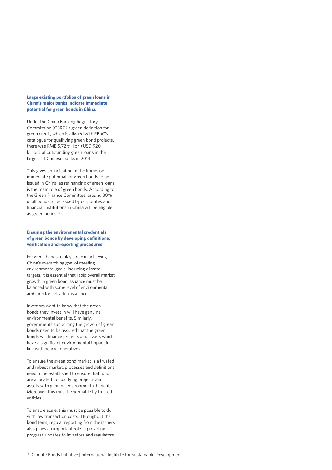#### **Large existing portfolios of green loans in China's major banks indicate immediate potential for green bonds in China.**

Under the China Banking Regulatory Commission (CBRC)'s green definition for green credit, which is aligned with PBoC's catalogue for qualifying green bond projects, there was RMB 5.72 trillion (USD 920 billion) of outstanding green loans in the largest 21 Chinese banks in 2014.

This gives an indication of the immense immediate potential for green bonds to be issued in China, as refinancing of green loans is the main role of green bonds. According to the Green Finance Committee, around 30% of all bonds to be issued by corporates and financial institutions in China will be eligible as green bonds.<sup>18</sup>

#### **Ensuring the environmental credentials of green bonds by developing definitions, verification and reporting procedures**

For green bonds to play a role in achieving China's overarching goal of meeting environmental goals, including climate targets, it is essential that rapid overall market growth in green bond issuance must be balanced with some level of environmental ambition for individual issuances.

Investors want to know that the green bonds they invest in will have genuine environmental benefits. Similarly, governments supporting the growth of green bonds need to be assured that the green bonds will finance projects and assets which have a significant environmental impact in line with policy imperatives.

To ensure the green bond market is a trusted and robust market, processes and definitions need to be established to ensure that funds are allocated to qualifying projects and assets with genuine environmental benefits. Moreover, this must be verifiable by trusted entities.

To enable scale, this must be possible to do with low transaction costs. Throughout the bond term, regular reporting from the issuers also plays an important role in providing progress updates to investors and regulators.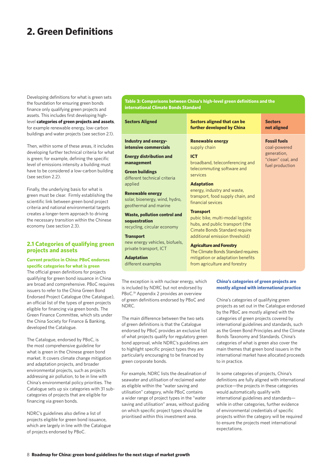### **2. Green Definitions**

Developing definitions for what is green sets the foundation for ensuring green bonds finance only qualifying green projects and assets. This includes first developing highlevel **categories of green projects and assets**, for example renewable energy, low-carbon buildings and water projects (see section 2.1).

Then, within some of these areas, it includes developing further technical criteria for what is green; for example, defining the specific level of emissions intensity a building must have to be considered a low-carbon building (see section 2.2).

Finally, the underlying basis for what is green must be clear. Firmly establishing the scientific link between green bond project criteria and national environmental targets creates a longer-term approach to driving the necessary transition within the Chinese economy (see section 2.3).

#### **2.1 Categories of qualifying green projects and assets**

#### **Current practice in China: PBoC endorses specific categories for what is green**

The official green definitions for projects qualifying for green bond issuance in China are broad and comprehensive. PBoC requires issuers to refer to the China Green Bond Endorsed Project Catalogue (the Catalogue), an official list of the types of green projects eligible for financing via green bonds. The Green Finance Committee, which sits under the China Society for Finance & Banking, developed the Catalogue.

The Catalogue, endorsed by PBoC, is the most comprehensive guideline for what is green in the Chinese green bond market. It covers climate change mitigation and adaptation projects, and broader environmental projects, such as projects addressing air pollution, to be in line with China's environmental policy priorities. The Catalogue sets up six categories with 31 subcategories of projects that are eligible for financing via green bonds.

NDRC's guidelines also define a list of projects eligible for green bond issuance, which are largely in line with the Catalogue of projects endorsed by PBoC.

**Table 3: Comparisons between China's high-level green definitions and the international Climate Bonds Standard**

| <b>Sectors Aligned</b>                                                              | <b>Sectors aligned that can be</b><br>further developed by China                                                         | <b>Sectors</b><br>not aligned                       |
|-------------------------------------------------------------------------------------|--------------------------------------------------------------------------------------------------------------------------|-----------------------------------------------------|
| Industry and energy-<br>intensive commercials                                       | <b>Renewable energy</b><br>supply chain                                                                                  | <b>Fossil fuels</b><br>coal-powered                 |
| <b>Energy distribution and</b><br>management<br><b>Green buildings</b>              | <b>ICT</b><br>broadband, teleconferencing and<br>telecommuting software and                                              | generation,<br>"clean" coal, and<br>fuel production |
| different technical criteria<br>applied                                             | services<br><b>Adaptation</b><br>energy, industry and waste,                                                             |                                                     |
| <b>Renewable energy</b><br>solar, bioenergy, wind, hydro,<br>geothermal and marine  | transport, food supply chain, and<br>financial sevices                                                                   |                                                     |
| <b>Waste, pollution control and</b><br>sequestration<br>recycling, circular economy | <b>Transport</b><br>pubic bike, multi-modal logistic<br>hubs, and public transport (the<br>Cimate Bonds Standard require |                                                     |
| <b>Transport</b><br>new energy vehicles, biofuels,<br>private transport, ICT        | additional emission threshold)<br><b>Agriculture and Forestry</b><br>The Climate Bonds Standard requires                 |                                                     |
| <b>Adaptation</b><br>different examples                                             | mitigation or adaptation benefits<br>from agriculture and forestry                                                       |                                                     |

The exception is with nuclear energy, which is included by NDRC but not endorsed by PBoC.19 Appendix 2 provides an overview of green definitions endorsed by PBoC and NDRC.

The main difference between the two sets of green definitions is that the Catalogue endorsed by PBoC provides an exclusive list of what projects qualify for regulatory green bond approval, while NDRC's guidelines aim to highlight specific project types they are particularly encouraging to be financed by green corporate bonds.

For example, NDRC lists the desalination of seawater and utilisation of reclaimed water as eligible within the "water saving and utilisation" category, while PBoC contains a wider range of project types in the "water saving and utilisation" areas, without guiding on which specific project types should be prioritised within this investment area.

#### **China's categories of green projects are mostly aligned with international practice**

China's categories of qualifying green projects as set out in the Catalogue endorsed by the PBoC are mostly aligned with the categories of green projects covered by international guidelines and standards, such as the Green Bond Principles and the Climate Bonds Taxonomy and Standards. China's categories of what is green also cover the main themes that green bond issuers in the international market have allocated proceeds to in practice.

In some categories of projects, China's definitions are fully aligned with international practice—the projects in these categories would automatically qualify with international guidelines and standards while in other categories, further evidence of environmental credentials of specific projects within the category will be required to ensure the projects meet international expectations.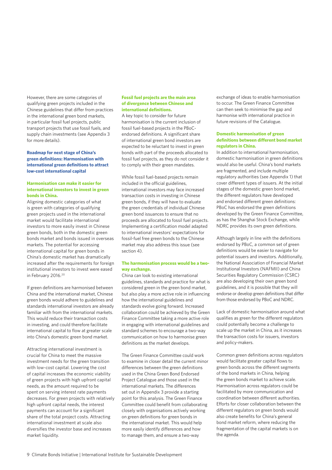However, there are some categories of qualifying green projects included in the Chinese guidelines that differ from practices in the international green bond markets, in particular fossil fuel projects, public transport projects that use fossil fuels, and supply chain investments (see Appendix 3 for more details).

#### **Roadmap for next stage of China's green definitions: Harmonisation with international green definitions to attract low-cost international capital**

#### **Harmonisation can make it easier for international investors to invest in green bonds in China.**

Aligning domestic categories of what is green with categories of qualifying green projects used in the international market would facilitate international investors to more easily invest in Chinese green bonds, both in the domestic green bonds market and bonds issued in overseas markets. The potential for accessing international capital for green bonds in China's domestic market has dramatically increased after the requirements for foreign institutional investors to invest were eased in February 2016.20

If green definitions are harmonised between China and the international market, Chinese green bonds would adhere to guidelines and standards international investors are already familiar with from the international markets. This would reduce their transaction costs in investing, and could therefore facilitate international capital to flow at greater scale into China's domestic green bond market.

Attracting international investment is crucial for China to meet the massive investment needs for the green transition with low-cost capital. Lowering the cost of capital increases the economic viability of green projects with high upfront capital needs, as the amount required to be spent on serving interest rate payments decreases. For green projects with relatively high upfront capital needs, the interest payments can account for a significant share of the total project costs. Attracting international investment at scale also diversifies the investor base and increases market liquidity.

#### **Fossil fuel projects are the main area of divergence between Chinese and international definitions.**

A key topic to consider for future harmonisation is the current inclusion of fossil fuel-based projects in the PBoCendorsed definitions. A significant share of international green bond investors are expected to be reluctant to invest in green bonds with part of the proceeds allocated to fossil fuel projects, as they do not consider it to comply with their green mandates.

While fossil fuel-based projects remain included in the official guidelines, international investors may face increased transaction costs in investing in Chinese green bonds, if they will have to evaluate the green credentials of individual Chinese green bond issuances to ensure that no proceeds are allocated to fossil fuel projects. Implementing a certification model adapted to international investors' expectations for fossil-fuel free green bonds to the Chinese market may also address this issue (see section 4).

#### **The harmonisation process would be a twoway exchange.**

China can look to existing international guidelines, standards and practice for what is considered green in the green bond market, but also play a more active role in influencing how the international guidelines and standards evolve going forward. Increased collaboration could be achieved by the Green Finance Committee taking a more active role in engaging with international guidelines and standard schemes to encourage a two-way communication on how to harmonise green definitions as the market develops.

The Green Finance Committee could work to examine in closer detail the current minor differences between the green definitions used in the China Green Bond Endorsed Project Catalogue and those used in the international markets. The differences set out in Appendix 3 provide a starting point for this analysis. The Green Finance Committee could benefit from collaborating closely with organisations actively working on green definitions for green bonds in the international market. This would help more easily identify differences and how to manage them, and ensure a two-way

exchange of ideas to enable harmonisation to occur. The Green Finance Committee can then seek to minimise the gap and harmonise with international practice in future revisions of the Catalogue.

#### **Domestic harmonisation of green definitions between different bond market regulators in China.**

In addition to international harmonisation, domestic harmonisation in green definitions would also be useful. China's bond markets are fragmented, and include multiple regulatory authorities (see Appendix 1) that cover different types of issuers. At the initial stages of the domestic green bond market, the different regulators have developed and endorsed different green definitions: PBoC has endorsed the green definitions developed by the Green Finance Committee, as has the Shanghai Stock Exchange, while NDRC provides its own green definitions.

Although largely in line with the definitions endorsed by PBoC, a common set of green definitions would be easier to navigate for potential issuers and investors. Additionally, the National Association of Financial Market Institutional Investors (NAFMII) and China Securities Regulatory Commission (CSRC) are also developing their own green bond guidelines, and it is possible that they will endorse or develop green definitions that differ from those endorsed by PBoC and NDRC.

Lack of domestic harmonisation around what qualifies as green for the different regulators could potentially become a challenge to scale up the market in China, as it increases the transaction costs for issuers, investors and policy-makers.

Common green definitions across regulators would facilitate greater capital flows to green bonds across the different segments of the bond markets in China, helping the green bonds market to achieve scale. Harmonisation across regulators could be facilitated by more communication and coordination between different authorities. Efforts for closer collaboration between the different regulators on green bonds would also create benefits for China's general bond market reform, where reducing the fragmentation of the capital markets is on the agenda.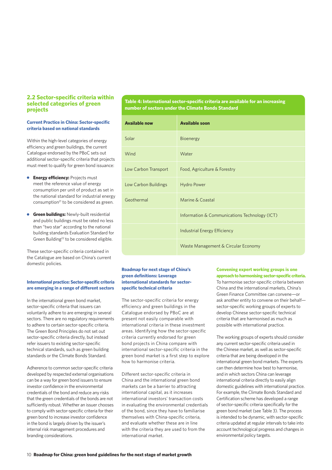#### **2.2 Sector-specific criteria within selected categories of green projects**

#### **Current Practice in China: Sector-specific criteria based on national standards**

Within the high-level categories of energy efficiency and green buildings, the current Catalogue endorsed by the PBoC sets out additional sector-specific criteria that projects must meet to qualify for green bond issuance:

- **Energy efficiency: Projects must** meet the reference value of energy consumption per unit of product as set in the national standard for industrial energy consumption<sup>21</sup> to be considered as green.
- **Green buildings:** Newly-built residential and public buildings must be rated no less than "two star" according to the national building standards Evaluation Standard for Green Building<sup>22</sup> to be considered eligible.

These sector-specific criteria contained in the Catalogue are based on China's current domestic policies.

#### **International practice: Sector-specific criteria are emerging in a range of different sectors**

In the international green bond market, sector-specific criteria that issuers can voluntarily adhere to are emerging in several sectors. There are no regulatory requirements to adhere to certain sector-specific criteria. The Green Bond Principles do not set out sector-specific criteria directly, but instead refer issuers to existing sector-specific technical standards, such as green building standards or the Climate Bonds Standard.

Adherence to common sector-specific criteria developed by respected external organisations can be a way for green bond issuers to ensure investor confidence in the environmental credentials of the bond and reduce any risks that the green credentials of the bonds are not sufficiently robust. Whether an issuer chooses to comply with sector-specific criteria for their green bond to increase investor confidence in the bond is largely driven by the issuer's internal risk management procedures and branding considerations.

**Table 4: International sector-specific criteria are available for an increasing number of sectors under the Climate Bonds Standard**

| <b>Available now</b> | <b>Available soon</b>                         |
|----------------------|-----------------------------------------------|
| Solar                | Bioenergy                                     |
| Wind                 | Water                                         |
| Low Carbon Transport | Food, Agriculture & Forestry                  |
| Low Carbon Buildings | <b>Hydro Power</b>                            |
| Geothermal           | Marine & Coastal                              |
|                      | Information & Communications Technology (ICT) |
|                      | Industrial Energy Efficiency                  |
|                      | Waste Management & Circular Economy           |

#### **Roadmap for next stage of China's green definitions: Leverage international standards for sectorspecific technical criteria**

The sector-specific criteria for energy efficiency and green buildings in the Catalogue endorsed by PBoC are at present not easily comparable with international criteria in these investment areas. Identifying how the sector-specific criteria currently endorsed for green bond projects in China compare with international sector-specific criteria in the green bond market is a first step to explore how to harmonise criteria.

Different sector-specific criteria in China and the international green bond markets can be a barrier to attracting international capital, as it increases international investors' transaction costs in evaluating the environmental credentials of the bond, since they have to familiarise themselves with China-specific criteria, and evaluate whether these are in line with the criteria they are used to from the international market.

**Convening expert working groups is one approach to harmonising sector-specific criteria.**

To harmonise sector-specific criteria between China and the international markets, China's Green Finance Committee can convene—or ask another entity to convene on their behalf sector-specific working groups of experts to develop Chinese sector-specific technical criteria that are harmonised as much as possible with international practice.

The working groups of experts should consider any current sector-specific criteria used in the Chinese market, as well as sector-specific criteria that are being developed in the international green bond markets. The experts can then determine how best to harmonise, and in which sectors China can leverage international criteria directly to easily align domestic guidelines with international practice. For example, the Climate Bonds Standard and Certification scheme has developed a range of sector-specific criteria specifically for the green bond market (see Table 3). The process is intended to be dynamic, with sector-specific criteria updated at regular intervals to take into account technological progress and changes in environmental policy targets.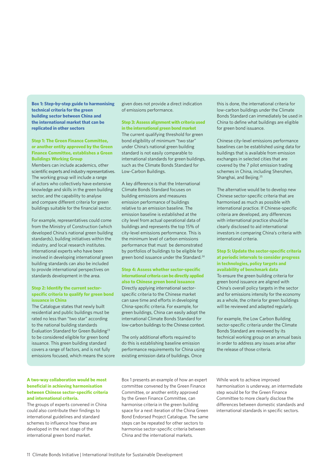**Box 1: Step-by-step guide to harmonising technical criteria for the green building sector between China and the international market that can be replicated in other sectors**

**Step 1: The Green Finance Committee, or another entity approved by the Green Finance Committee, establishes a Green Buildings Working Group** Members can include academics, other scientific experts and industry representatives. The working group will include a range of actors who collectively have extensive knowledge and skills in the green building sector, and the capability to analyse and compare different criteria for green buildings suitable for the financial sector.

For example, representatives could come from the Ministry of Construction (which developed China's national green building standards), building initiatives within the industry, and local research institutes. International experts who have been involved in developing international green building standards can also be included to provide international perspectives on standards development in the area.

#### **Step 2: Identify the current sectorspecific criteria to qualify for green bond issuance in China**

The Catalogue states that newly built residential and public buildings must be rated no less than "two star" according to the national building standards Evaluation Standard for Green Building<sup>23</sup> to be considered eligible for green bond issuance. This green building standard covers a range of factors, and is not fully emissions focused, which means the score given does not provide a direct indication of emissions performance.

**Step 3: Assess alignment with criteria used in the international green bond market** The current qualifying threshold for green bond eligibility of minimum "two star" under China's national green building standard is not easily comparable to international standards for green buildings, such as the Climate Bonds Standard for Low-Carbon Buildings.

A key difference is that the International Climate Bonds Standard focuses on building emissions and measures emission performance of buildings relative to an emission baseline. The emission baseline is established at the city level from actual operational data of buildings and represents the top 15% of city-level emissions performance. This is the minimum level of carbon emissions performance that must be demonstrated by portfolios of buildings to be eligible for green bond issuance under the Standard.<sup>24</sup>

**Step 4: Assess whether sector-specific international criteria can be directly applied also to Chinese green bond issuance**  Directly applying international sectorspecific criteria to the Chinese market can save time and efforts in developing China-specific criteria. For example, for green buildings, China can easily adopt the international Climate Bonds Standard for low-carbon buildings to the Chinese context.

The only additional efforts required to do this is establishing baseline emission performance requirements for China using existing emission data of buildings. Once

this is done, the international criteria for low-carbon buildings under the Climate Bonds Standard can immediately be used in China to define what buildings are eligible for green bond issuance.

Chinese city-level emissions performance baselines can be established using data for buildings that is available from emission exchanges in selected cities that are covered by the 7 pilot emission trading schemes in China, including Shenzhen, Shanghai, and Beijing.<sup>25</sup>

The alternative would be to develop new Chinese sector-specific criteria that are harmonised as much as possible with international practice. If Chinese-specific criteria are developed, any differences with international practice should be clearly disclosed to aid international investors in comparing China's criteria with international criteria.

**Step 5: Update the sector-specific criteria at periodic intervals to consider progress in technologies, policy targets and availability of benchmark data** To ensure the green building criteria for green bond issuance are aligned with China's overall policy targets in the sector and for emissions intensity for the economy as a whole, the criteria for green buildings will be reviewed and adapted regularly.

For example, the Low Carbon Building sector-specific criteria under the Climate Bonds Standard are reviewed by its technical working group on an annual basis in order to address any issues arise after the release of those criteria.

#### **A two-way collaboration would be most beneficial in achieving harmonisation between Chinese sector-specific criteria and international criteria.**

The groups of experts convened in China could also contribute their findings to international guidelines and standard schemes to influence how these are developed in the next stage of the international green bond market.

Box 1 presents an example of how an expert committee convened by the Green Finance Committee, or another entity approved by the Green Finance Committee, can harmonise criteria in the green building space for a next iteration of the China Green Bond Endorsed Project Catalogue. The same steps can be repeated for other sectors to harmonise sector-specific criteria between China and the international markets.

While work to achieve improved harmonisation is underway, an intermediate step would be for the Green Finance Committee to more clearly disclose the differences between domestic standards and international standards in specific sectors.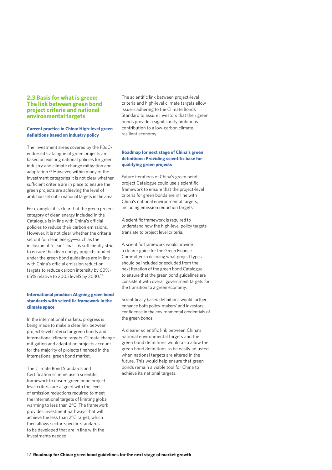#### **2.3 Basis for what is green: The link between green bond project criteria and national environmental targets**

#### **Current practice in China: High-level green definitions based on industry policy**

The investment areas covered by the PBoCendorsed Catalogue of green projects are based on existing national policies for green industry and climate change mitigation and adaptation.26 However, within many of the investment categories it is not clear whether sufficient criteria are in place to ensure the green projects are achieving the level of ambition set out in national targets in the area.

For example, it is clear that the green project category of clean energy included in the Catalogue is in line with China's official policies to reduce their carbon emissions. However, it is not clear whether the criteria set out for clean energy—such as the inclusion of "clean" coal—is sufficiently strict to ensure the clean energy projects funded under the green bond guidelines are in line with China's official emission reduction targets to reduce carbon intensity by 60%- 65% relative to 2005 levelS by 2030.27

#### **International practice: Aligning green bond standards with scientific framework in the climate space**

In the international markets, progress is being made to make a clear link between project-level criteria for green bonds and international climate targets. Climate change mitigation and adaptation projects account for the majority of projects financed in the international green bond market.

The Climate Bond Standards and Certification scheme use a scientific framework to ensure green bond projectlevel criteria are aligned with the levels of emission reductions required to meet the international targets of limiting global warming to less than 2°C. The framework provides investment pathways that will achieve the less than 2°C target, which then allows sector-specific standards to be developed that are in line with the investments needed.

The scientific link between project-level criteria and high-level climate targets allow issuers adhering to the Climate Bonds Standard to assure investors that their green bonds provide a significantly ambitious contribution to a low-carbon climateresilient economy.

#### **Roadmap for next stage of China's green definitions: Providing scientific base for qualifying green projects**

Future iterations of China's green bond project Catalogue could use a scientific framework to ensure that the project-level criteria for green bonds are in line with China's national environmental targets, including emission reduction targets.

A scientific framework is required to understand how the high-level policy targets translate to project level criteria.

A scientific framework would provide a clearer guide for the Green Finance Committee in deciding what project types should be included or excluded from the next iteration of the green bond Catalogue to ensure that the green bond guidelines are consistent with overall government targets for the transition to a green economy.

Scientifically based definitions would further enhance both policy-makers' and investors' confidence in the environmental credentials of the green bonds.

A clearer scientific link between China's national environmental targets and the green bond definitions would also allow the green bond definitions to be easily adjusted when national targets are altered in the future. This would help ensure that green bonds remain a viable tool for China to achieve its national targets.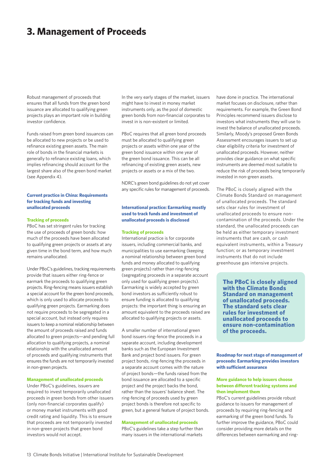### **3. Management of Proceeds**

Robust management of proceeds that ensures that all funds from the green bond issuance are allocated to qualifying green projects plays an important role in building investor confidence.

Funds raised from green bond issuances can be allocated to new projects or be used to refinance existing green assets. The main role of bonds in the financial markets is generally to refinance existing loans, which implies refinancing should account for the largest share also of the green bond market (see Appendix 4).

#### **Current practice in China: Requirements for tracking funds and investing unallocated proceeds**

#### **Tracking of proceeds**

PBoC has set stringent rules for tracking the use of proceeds of green bonds: how much of the proceeds have been allocated to qualifying green projects or assets at any given time in the bond term, and how much remains unallocated.

Under PBoC's guidelines, tracking requirements provide that issuers either ring-fence or earmark the proceeds to qualifying green projects. Ring-fencing means issuers establish a special account for the green bond proceeds, which is only used to allocate proceeds to qualifying green projects. Earmarking does not require proceeds to be segregated in a special account, but instead only requires issuers to keep a nominal relationship between the amount of proceeds raised and funds allocated to green projects—and pending full allocation to qualifying projects, a nominal relationship with the unallocated amount of proceeds and qualifying instruments that ensures the funds are not temporarily invested in non-green projects.

#### **Management of unallocated proceeds**

Under PBoC's guidelines, issuers are required to invest temporarily unallocated proceeds in green bonds from other issuers (only non-financial corporates qualify) or money market instruments with good credit rating and liquidity. This is to ensure that proceeds are not temporarily invested in non-green projects that green bond investors would not accept.

In the very early stages of the market, issuers might have to invest in money market instruments only, as the pool of domestic green bonds from non-financial corporates to invest in is non-existent or limited.

PBoC requires that all green bond proceeds must be allocated to qualifying green projects or assets within one year of the green bond issuance within one year of the green bond issuance. This can be all refinancing of existing green assets, new projects or assets or a mix of the two.

NDRC's green bond guidelines do not yet cover any specific rules for management of proceeds.

#### **International practice: Earmarking mostly used to track funds and investment of unallocated proceeds is disclosed**

#### **Tracking of proceeds**

International practice is for corporate issuers, including commercial banks, and municipalities to use earmarking (keeping a nominal relationship between green bond funds and money allocated to qualifying green projects) rather than ring-fencing (segregating proceeds in a separate account only used for qualifying green projects). Earmarking is widely accepted by green bond investors as sufficiently robust to ensure funding is allocated to qualifying projects: the important thing is ensuring an amount equivalent to the proceeds raised are allocated to qualifying projects or assets.

A smaller number of international green bond issuers ring-fence the proceeds in a separate account, including development banks such as the European Investment Bank and project bond issuers. For green project bonds, ring-fencing the proceeds in a separate account comes with the nature of project bonds—the funds raised from the bond issuance are allocated to a specific project and the project backs the bond, rather than the issuers' balance sheet. The ring-fencing of proceeds used by green project bonds is therefore not specific to green, but a general feature of project bonds.

#### **Management of unallocated proceeds**

PBoC's guidelines take a step further than many issuers in the international markets

have done in practice. The international market focuses on disclosure, rather than requirements. For example, the Green Bond Principles recommend issuers disclose to investors what instruments they will use to invest the balance of unallocated proceeds. Similarly, Moody's proposed Green Bonds Assessment encourages issuers to set up clear eligibility criteria for investment of unallocated proceeds. However, neither provides clear guidance on what specific instruments are deemed most suitable to reduce the risk of proceeds being temporarily invested in non-green assets.

The PBoC is closely aligned with the Climate Bonds Standard on management of unallocated proceeds. The standard sets clear rules for investment of unallocated proceeds to ensure noncontamination of the proceeds. Under the standard, the unallocated proceeds can be held as either temporary investment instruments that are cash, or cash equivalent instruments, within a Treasury function; or as temporary investment instruments that do not include greenhouse gas intensive projects.

**The PBoC is closely aligned with the Climate Bonds Standard on management of unallocated proceeds. The standard sets clear rules for investment of unallocated proceeds to ensure non-contamination of the proceeds.** 

**Roadmap for next stage of management of proceeds: Earmarking provides investors with sufficient assurance**

#### **More guidance to help issuers choose between different tracking systems and then implement them**

PBoC's current guidelines provide robust guidance to issuers for management of proceeds by requiring ring-fencing and earmarking of the green bond funds. To further improve the guidance, PBoC could consider providing more details on the differences between earmarking and ring-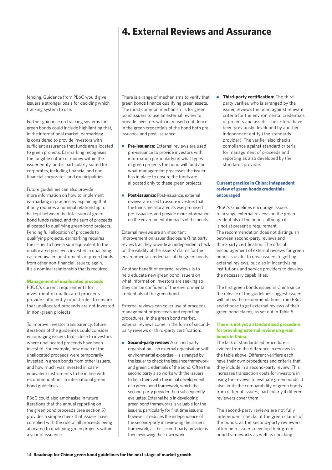### **4. External Reviews and Assurance**

fencing. Guidance from PBoC would give issuers a stronger basis for deciding which tracking system to use.

Further guidance on tracking systems for green bonds could include highlighting that, in the international market, earmarking is considered to provide investors with sufficient assurance that funds are allocated to green projects. Earmarking recognises the fungible nature of money within the issuer entity, and is particularly suited for corporates, including financial and nonfinancial corporates, and municipalities.

Future guidelines can also provide more information on how to implement earmarking in practice by explaining that it only requires a nominal relationship to be kept between the total sum of green bond funds raised, and the sum of proceeds allocated to qualifying green bond projects. Pending full allocation of proceeds to qualifying projects, earmarking requires the issuer to have a sum equivalent to the unallocated proceeds invested in qualifying cash-equivalent instruments or green bonds from other non-financial issuers; again, it's a nominal relationship that is required.

#### **Management of unallocated proceeds**

PBOC's current requirements for investment of unallocated proceeds provide sufficiently robust rules to ensure that unallocated proceeds are not invested in non-green projects.

To improve investor transparency, future iterations of the guidelines could consider encouraging issuers to disclose to investors where unallocated proceeds have been invested. For example, how much of the unallocated proceeds were temporarily invested in green bonds from other issuers, and how much was invested in cashequivalent instruments to be in line with recommendations in international green bond guidelines.

PBoC could also emphasise in future iterations that the annual reporting on the green bond proceeds (see section 5) provides a simple check that issuers have complied with the rule of all proceeds being allocated to qualifying green projects within a year of issuance.

There is a range of mechanisms to verify that green bonds finance qualifying green assets. The most common mechanism is for green bond issuers to use an external review to provide investors with increased confidence in the green credentials of the bond both preissuance and post-issuance:

- **Pre-issuance:** External reviews are used pre-issuance to provide investors with information particularly on what types of green projects the bond will fund and what management processes the issuer has in place to ensure the funds are allocated only to these green projects.
- **Post-issuance:** Post-issuance, external reviews are used to assure investors that the funds are allocated as was promised pre-issuance, and provide more information on the environmental impacts of the bonds.

External reviews are an important improvement on issuer disclosure (first party review), as they provide an independent check on the validity of the issuers' claims for the environmental credentials of the green bonds.

Another benefit of external reviews is to help educate new green bond issuers on what information investors are seeking so they can be confident of the environmental credentials of the green bond.

External reviews can cover use of proceeds, management or proceeds and reporting procedures. In the green bond market, external reviews come in the form of secondparty reviews or third-party certification:

**Second-party review:** A second party organisation—an external organisation with environmental expertise—is arranged by the issuer to check the issuance framework and green credentials of the bond. Often the second party also works with the issuers to help them with the initial development of a green bond framework, which the second-party provider then subsequently evaluates. External help in developing green bond frameworks is valuable for the issuers, particularly for first time issuers; however, it reduces the independence of the second-party in reviewing the issuer's framework, as the second-party provider is then reviewing their own work.

**• Third-party certification:** The thirdparty verifier, who is arranged by the issuer, reviews the bond against relevant criteria for the environmental credentials of projects and assets. The criteria have been previously developed by another independent entity (the standards provider). The verifier also checks compliance against standard criteria for management of proceeds and reporting as also developed by the standards provider.

#### **Current practice in China: Independent review of green bonds credentials encouraged**

PBoC's Guidelines encourage issuers to arrange external reviews on the green credentials of the bonds, although it is not at present a requirement. The recommendation does not distinguish between second-party reviews and third-party certification. The official encouragement of external reviews for green bonds is useful to drive issuers to getting external reviews, but also in incentivising institutions and service providers to develop the necessary capabilities.

The first green bonds issued in China since the release of the guidelines suggest issuers will follow the recommendations from PBoC and choose to get external reviews of their green bond claims, as set out in Table 5.

#### **There is not yet a standardised procedure for providing external review on green bonds in China.**

The lack of standardised procedure is evident from the difference in reviews in the table above. Different verifiers each have their own procedures and criteria that they include in a second-party review. This increases transaction costs for investors in using the reviews to evaluate green bonds. It also limits the comparability of green bonds from different issuers, particularly if different reviewers cover them.

The second-party reviews are not fully independent checks of the green claims of the bonds, as the second-party reviewers often help issuers develop their green bond frameworks as well as checking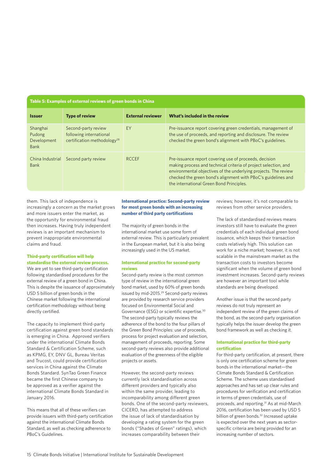#### **Table 5: Examples of external reviews of green bonds in China**

| <b>Issuer</b>                             | <b>Type of review</b>                                                                     | <b>External reviewer</b> | What's included in the review                                                                                                                                                                                                                                                                             |
|-------------------------------------------|-------------------------------------------------------------------------------------------|--------------------------|-----------------------------------------------------------------------------------------------------------------------------------------------------------------------------------------------------------------------------------------------------------------------------------------------------------|
| Shanghai<br>Pudong<br>Development<br>Bank | Second-party review<br>following international<br>certification methodology <sup>28</sup> | <b>FY</b>                | Pre-issuance report covering green credentials, management of<br>the use of proceeds, and reporting and disclosure. The review<br>checked the green bond's alignment with PBoC's guidelines.                                                                                                              |
| China Industrial<br>Bank                  | Second party review                                                                       | <b>RCCEF</b>             | Pre-issuance report covering use of proceeds, decision<br>making process and technical criteria of project selection, and<br>environmental objectives of the underlying projects. The review<br>checked the green bond's alignment with PBoC's guidelines and<br>the international Green Bond Principles. |

them. This lack of independence is increasingly a concern as the market grows and more issuers enter the market, as the opportunity for environmental fraud then increases. Having truly independent reviews is an important mechanism to prevent inappropriate environmental claims and fraud.

#### **Third-party certification will help standardise the external review process.**

We are yet to see third-party certification following standardised procedures for the external review of a green bond in China. This is despite the issuance of approximately USD 5 billion of green bonds in the Chinese market following the international certification methodology without being directly certified.

The capacity to implement third-party certification against green bond standards is emerging in China. Approved verifiers under the international Climate Bonds Standard & Certification Scheme, such as KPMG, EY, DNV GL, Bureau Veritas and Trucost, could provide certification services in China against the Climate Bonds Standard. SynTao Green Finance became the first Chinese company to be approved as a verifier against the international Climate Bonds Standard in January 2016.

This means that all of these verifiers can provide issuers with third-party certification against the international Climate Bonds Standard, as well as checking adherence to PBoC's Guidelines.

#### **International practice: Second-party review for most green bonds with an increasing number of third party certifications**

The majority of green bonds in the international market use some form of external review. This is particularly prevalent in the European market, but it is also being increasingly used in the US market.

#### **International practice for second-party reviews**

Second-party review is the most common type of review in the international green bond market, used by 60% of green bonds issued by mid-2015.29 Second-party reviews are provided by research service providers focused on Environmental Social and Governance (ESG) or scientific expertise.30 The second-party typically reviews the adherence of the bond to the four pillars of the Green Bond Principles: use of proceeds, process for project evaluation and selection, management of proceeds, reporting. Some second-party reviews also provide additional evaluation of the greenness of the eligible projects or assets.

However, the second-party reviews currently lack standardisation across different providers and typically also within the same provider, leading to incomparability among different green bonds. One of the second-party reviewers, CICERO, has attempted to address the issue of lack of standardisation by developing a rating system for the green bonds ("Shades of Green" ratings), which increases comparability between their

reviews; however, it's not comparable to reviews from other service providers.

The lack of standardised reviews means investors still have to evaluate the green credentials of each individual green bond issuance, which keeps their transaction costs relatively high. This solution can work for a niche market; however, it is not scalable in the mainstream market as the transaction costs to investors become significant when the volume of green bond investment increases. Second-party reviews are however an important tool while standards are being developed.

Another issue is that the second party reviews do not truly represent an independent review of the green claims of the bond, as the second-party organisation typically helps the issuer develop the green bond framework as well as checking it.

#### **International practice for third-party certification**

For third-party certification, at present, there is only one certification scheme for green bonds in the international market—the Climate Bonds Standard & Certification Scheme. The scheme uses standardised approaches and has set up clear rules and procedures for verification and certification in terms of green credentials, use of proceeds, and reporting.31 As at mid-March 2016, certification has been used by USD 5 billion of green bonds.32 Increased uptake is expected over the next years as sectorspecific criteria are being provided for an increasing number of sectors.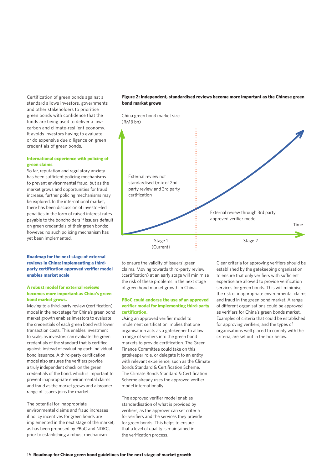Certification of green bonds against a standard allows investors, governments and other stakeholders to prioritise green bonds with confidence that the funds are being used to deliver a lowcarbon and climate-resilient economy. It avoids investors having to evaluate or do expensive due diligence on green credentials of green bonds.

#### **International experience with policing of green claims**

So far, reputation and regulatory anxiety has been sufficient policing mechanisms to prevent environmental fraud, but as the market grows and opportunities for fraud increase, further policing mechanisms may be explored. In the international market, there has been discussion of investor-led penalties in the form of raised interest rates payable to the bondholders if issuers default on green credentials of their green bonds; however, no such policing mechanism has yet been implemented.

#### **Roadmap for the next stage of external reviews in China: Implementing a thirdparty certification approved verifier model enables market scale**

#### **A robust model for external reviews becomes more important as China's green bond market grows.**

Moving to a third-party review (certification) model in the next stage for China's green bond market growth enables investors to evaluate the credentials of each green bond with lower transaction costs. This enables investment to scale, as investors can evaluate the green credentials of the standard that is certified against, instead of evaluating each individual bond issuance. A third-party certification model also ensures the verifiers provide a truly independent check on the green credentials of the bond, which is important to prevent inappropriate environmental claims and fraud as the market grows and a broader range of issuers joins the market.

The potential for inappropriate environmental claims and fraud increases if policy incentives for green bonds are implemented in the next stage of the market, as has been proposed by PBoC and NDRC, prior to establishing a robust mechanism

#### **Figure 2: Independent, standardised reviews become more important as the Chinese green bond market grows**



to ensure the validity of issuers' green claims. Moving towards third-party review (certification) at an early stage will minimise the risk of these problems in the next stage of green bond market growth in China.

#### **PBoC could endorse the use of an approved verifier model for implementing third-party certification.**

Using an approved verifier model to implement certification implies that one organisation acts as a gatekeeper to allow a range of verifiers into the green bond markets to provide certification. The Green Finance Committee could take on this gatekeeper role, or delegate it to an entity with relevant experience, such as the Climate Bonds Standard & Certification Scheme. The Climate Bonds Standard & Certification Scheme already uses the approved verifier model internationally.

The approved verifier model enables standardisation of what is provided by verifiers, as the approver can set criteria for verifiers and the services they provide for green bonds. This helps to ensure that a level of quality is maintained in the verification process.

Clear criteria for approving verifiers should be established by the gatekeeping organisation to ensure that only verifiers with sufficient expertise are allowed to provide verification services for green bonds. This will minimise the risk of inappropriate environmental claims and fraud in the green bond market. A range of different organisations could be approved as verifiers for China's green bonds market. Examples of criteria that could be established for approving verifiers, and the types of organisations well placed to comply with the criteria, are set out in the box below.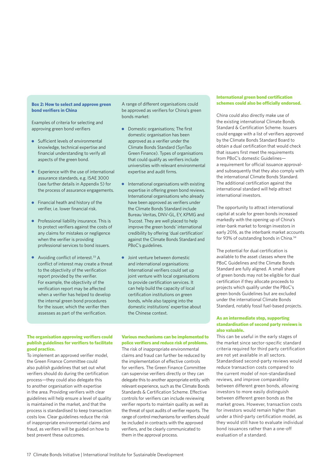#### **Box 2: How to select and approve green bond verifiers in China**

Examples of criteria for selecting and approving green bond verifiers

- **Sufficient levels of environmental** knowledge, technical expertise and financial understanding to verify all aspects of the green bond.
- Experience with the use of international assurance standards, e.g. ISAE 3000 (see further details in Appendix 5) for the process of assurance engagements.
- **•** Financial heath and history of the verifier, i.e. lower financial risk.
- **•** Professional liability insurance. This is to protect verifiers against the costs of any claims for mistakes or negligence when the verifier is providing professional services to bond issuers.
- Avoiding conflict of interest.<sup>33</sup> A conflict of interest may create a threat to the objectivity of the verification report provided by the verifier. For example, the objectivity of the verification report may be affected when a verifier has helped to develop the internal green bond procedures for the issuer, which the verifier then assesses as part of the verification.

A range of different organisations could be approved as verifiers for China's green bonds market:

- $\bullet$ Domestic organisations; The first domestic organisation has been approved as a verifier under the Climate Bonds Standard (SynTao Green Finance). Types of organisations that could qualify as verifiers include universities with relevant environmental expertise and audit firms.
- $\bullet$ International organisations with existing expertise in offering green bond reviews. International organisations who already have been approved as verifiers under the Climate Bonds Standard include Bureau Veritas, DNV-GL, EY, KPMG and Trucost. They are well placed to help improve the green bonds' international credibility by offering 'dual certification' against the Climate Bonds Standard and PBoC's guidelines.
- **•** Joint venture between domestic and international organisations: International verifiers could set up joint venture with local organisations to provide certification services. It can help build the capacity of local certification institutions on green bonds, while also tapping into the domestic institutions' expertise about the Chinese context.

#### **The organisation approving verifiers could publish guidelines for verifiers to facilitate good practice.**

To implement an approved verifier model, the Green Finance Committee could also publish guidelines that set out what verifiers should do during the certification process—they could also delegate this to another organisation with expertise in the area. Providing verifiers with clear guidelines will help ensure a level of quality is maintained in the market, and that the process is standardised to keep transaction costs low. Clear guidelines reduce the risk of inappropriate environmental claims and fraud, as verifiers will be guided on how to best prevent these outcomes.

#### **Various mechanisms can be implemented to police verifiers and reduce risk of problems.**

The risk of inappropriate environmental claims and fraud can further be reduced by the implementation of effective controls for verifiers. The Green Finance Committee can supervise verifiers directly or they can delegate this to another appropriate entity with relevant experience, such as the Climate Bonds Standards & Certification Scheme. Effective controls for verifiers can include reviewing verifier reports to maintain quality as well as the threat of spot audits of verifier reports. The range of control mechanisms for verifiers should be included in contracts with the approved verifiers, and be clearly communicated to them in the approval process.

#### **International green bond certification schemes could also be officially endorsed.**

China could also directly make use of the existing international Climate Bonds Standard & Certification Scheme. Issuers could engage with a list of verifiers approved by the Climate Bonds Standard Board to obtain a dual certification that would check that issuers first meet the requirements from PBoC's domestic Guidelines a requirement for official issuance approvaland subsequently that they also comply with the international Climate Bonds Standard. The additional certification against the international standard will help attract international investors.

The opportunity to attract international capital at scale for green bonds increased markedly with the opening up of China's inter-bank market to foreign investors in early 2016, as the interbank market accounts for 93% of outstanding bonds in China.<sup>34</sup>

The potential for dual certification is available to the asset classes where the PBoC Guidelines and the Climate Bonds Standard are fully aligned. A small share of green bonds may not be eligible for dual certification if they allocate proceeds to projects which qualify under the PBoC's green bonds Guidelines but are excluded under the international Climate Bonds Standard, notably fossil fuel-based projects.

#### **As an intermediate step, supporting standardisation of second party reviews is also valuable.**

This can be useful in the early stages of the market since sector-specific standard criteria required for third party certification are not yet available in all sectors. Standardised second-party reviews would reduce transaction costs compared to the current model of non-standardised reviews, and improve comparability between different green bonds, allowing investors to more easily distinguish between different green bonds as the market grows. However, transaction costs for investors would remain higher than under a third-party certification model, as they would still have to evaluate individual bond issuances rather than a one-off evaluation of a standard.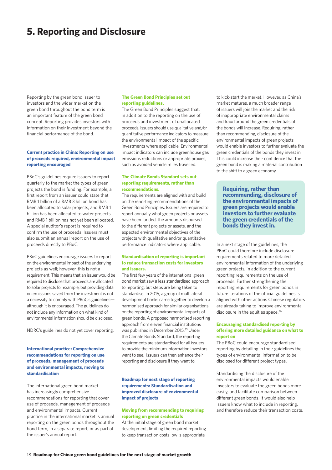### **5. Reporting and Disclosure**

Reporting by the green bond issuer to investors and the wider market on the green bond throughout the bond term is an important feature of the green bond concept. Reporting provides investors with information on their investment beyond the financial performance of the bond.

#### **Current practice in China: Reporting on use of proceeds required, environmental impact reporting encouraged**

PBoC's guidelines require issuers to report quarterly to the market the types of green projects the bond is funding. For example, a first report from an issuer could state that RMB 1 billion of a RMB 3 billion bond has been allocated to solar projects, and RMB 1 billion has been allocated to water projects and RMB 1 billion has not yet been allocated. A special auditor's report is required to confirm the use of proceeds. Issuers must also submit an annual report on the use of proceeds directly to PBoC.

PBoC guidelines encourage issuers to report on the environmental impact of the underlying projects as well; however, this is not a requirement. This means that an issuer would be required to disclose that proceeds are allocated to solar projects for example, but providing data on emissions saved from the investment is not a necessity to comply with PBoC's guidelinesalthough it is encouraged. The guidelines do not include any information on what kind of environmental information should be disclosed.

NDRC's guidelines do not yet cover reporting.

#### **International practice: Comprehensive recommendations for reporting on use of proceeds, management of proceeds and environmental impacts, moving to standardisation**

The international green bond market has increasingly comprehensive recommendations for reporting that cover use of proceeds, management of proceeds and environmental impacts. Current practice in the international market is annual reporting on the green bonds throughout the bond term, in a separate report, or as part of the issuer's annual report.

#### **The Green Bond Principles set out reporting guidelines.**

The Green Bond Principles suggest that, in addition to the reporting on the use of proceeds and investment of unallocated proceeds, issuers should use qualitative and/or quantitative performance indicators to measure the environmental impact of the specific investments where applicable. Environmental impact indicators can include greenhouse gas emissions reductions or appropriate proxies, such as avoided vehicle miles travelled.

#### **The Climate Bonds Standard sets out reporting requirements, rather than recommendations.**

The requirements are aligned with and build on the reporting recommendations of the Green Bond Principles. Issuers are required to report annually what green projects or assets have been funded, the amounts disbursed to the different projects or assets, and the expected environmental objectives of the projects with qualitative and/or quantitative performance indicators where applicable.

#### **Standardisation of reporting is important to reduce transaction costs for investors and issuers.**

The first few years of the international green bond market saw a less standardised approach to reporting, but steps are being taken to standardise. In 2015, a group of multilateral development banks came together to develop a harmonised approach for similar organisations on the reporting of environmental impacts of green bonds. A proposed harmonised reporting approach from eleven financial institutions was published in December 2015.35 Under the Climate Bonds Standard, the reporting requirements are standardised for all issuers to provide the minimum information investors want to see. Issuers can then enhance their reporting and disclosure if they want to.

#### **Roadmap for next stage of reporting requirements: Standardisation and improved disclosure of environmental impact of projects**

#### **Moving from recommending to requiring reporting on green credentials**

At the initial stage of green bond market development, limiting the required reporting to keep transaction costs low is appropriate

to kick-start the market. However, as China's market matures, a much broader range of issuers will join the market and the risk of inappropriate environmental claims and fraud around the green credentials of the bonds will increase. Requiring, rather than recommending, disclosure of the environmental impacts of green projects would enable investors to further evaluate the green credentials of the bonds they invest in. This could increase their confidence that the green bond is making a material contribution to the shift to a green economy.

**Requiring, rather than recommending, disclosure of the environmental impacts of green projects would enable investors to further evaluate the green credentials of the bonds they invest in.** 

In a next stage of the guidelines, the PBoC could therefore include disclosure requirements related to more detailed environmental information of the underlying green projects, in addition to the current reporting requirements on the use of proceeds. Further strengthening the reporting requirements for green bonds in future iterations of the official guidelines is aligned with other actions Chinese regulators are already taking to improve environmental disclosure in the equities space.<sup>36</sup>

#### **Encouraging standardised reporting by offering more detailed guidance on what to report on**

The PBoC could encourage standardised reporting by detailing in their guidelines the types of environmental information to be disclosed for different project types.

Standardising the disclosure of the environmental impacts would enable investors to evaluate the green bonds more easily, and facilitate comparison between different green bonds. It would also help issuers know what to include in reporting, and therefore reduce their transaction costs.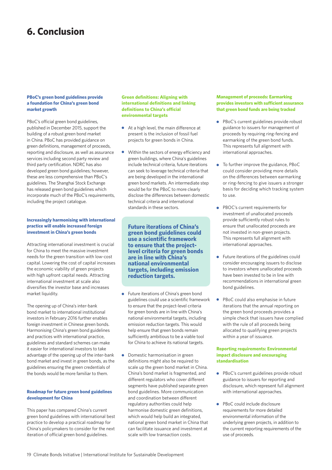### **6. Conclusion**

#### **PBoC's green bond guidelines provide a foundation for China's green bond market growth**

PBoC's official green bond guidelines, published in December 2015, support the building of a robust green bond market in China. PBoC has provided guidance on green definitions, management of proceeds, reporting and disclosure, as well as assurance services including second party review and third party certification. NDRC has also developed green bond guidelines; however, these are less comprehensive than PBoC's guidelines. The Shanghai Stock Exchange has released green bond guidelines which incorporate much of the PBoC's requirements, including the project catalogue.

#### **Increasingly harmonising with international practice will enable increased foreign investment in China's green bonds**

Attracting international investment is crucial for China to meet the massive investment needs for the green transition with low-cost capital. Lowering the cost of capital increases the economic viability of green projects with high upfront capital needs. Attracting international investment at scale also diversifies the investor base and increases market liquidity.

The opening up of China's inter-bank bond market to international institutional investors in February 2016 further enables foreign investment in Chinese green bonds. Harmonising China's green bond guidelines and practices with international practice, guidelines and standard schemes can make it easier for international investors to take advantage of the opening up of the inter-bank bond market and invest in green bonds, as the guidelines ensuring the green credentials of the bonds would be more familiar to them.

#### **Roadmap for future green bond guidelines development for China**

This paper has compared China's current green bond guidelines with international best practice to develop a practical roadmap for China's policymakers to consider for the next iteration of official green bond guidelines.

#### **Green definitions: Aligning with international definitions and linking definitions to China's official environmental targets**

- At a high level, the main difference at present is the inclusion of fossil fuel projects for green bonds in China.
- Within the sectors of energy efficiency and green buildings, where China's guidelines include technical criteria, future iterations can seek to leverage technical criteria that are being developed in the international green bond markets. An intermediate step would be for the PBoC to more clearly disclose the differences between domestic technical criteria and international standards in these sectors.

**Future iterations of China's green bond guidelines could use a scientific framework to ensure that the projectlevel criteria for green bonds are in line with China's national environmental targets, including emission reduction targets.** 

- Future iterations of China's green bond  $\bullet$ guidelines could use a scientific framework to ensure that the project-level criteria for green bonds are in line with China's national environmental targets, including emission reduction targets. This would help ensure that green bonds remain sufficiently ambitious to be a viable tool for China to achieve its national targets.
- Domestic harmonisation in green definitions might also be required to scale up the green bond market in China. China's bond market is fragmented, and different regulators who cover different segments have published separate green bond guidelines. More communication and coordination between different regulatory authorities could help harmonise domestic green definitions, which would help build an integrated, national green bond market in China that can facilitate issuance and investment at scale with low transaction costs.

#### **Management of proceeds: Earmarking provides investors with sufficient assurance that green bond funds are being tracked**

- **•** PBoC's current guidelines provide robust guidance to issuers for management of proceeds by requiring ring-fencing and earmarking of the green bond funds. This represents full alignment with international approaches.
- To further improve the guidance, PBoC could consider providing more details on the differences between earmarking or ring-fencing to give issuers a stronger basis for deciding which tracking system to use.
- PBOC's current requirements for investment of unallocated proceeds provide sufficiently robust rules to ensure that unallocated proceeds are not invested in non-green projects. This represents full alignment with international approaches.
- **•** Future iterations of the guidelines could consider encouraging issuers to disclose to investors where unallocated proceeds have been invested to be in line with recommendations in international green bond guidelines.
- $\bullet$ PBoC could also emphasise in future iterations that the annual reporting on the green bond proceeds provides a simple check that issuers have complied with the rule of all proceeds being allocated to qualifying green projects within a year of issuance.

#### **Reporting requirements: Environmental impact disclosure and encouraging standardisation**

- PBoC's current guidelines provide robust guidance to issuers for reporting and disclosure, which represent full alignment with international approaches.
- PBoC could include disclosure requirements for more detailed environmental information of the underlying green projects, in addition to the current reporting requirements of the use of proceeds.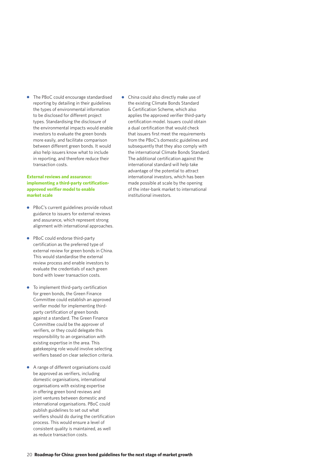The PBoC could encourage standardised reporting by detailing in their guidelines the types of environmental information to be disclosed for different project types. Standardising the disclosure of the environmental impacts would enable investors to evaluate the green bonds more easily, and facilitate comparison between different green bonds. It would also help issuers know what to include in reporting, and therefore reduce their transaction costs.

#### **External reviews and assurance: implementing a third-party certificationapproved verifier model to enable market scale**

- PBoC's current guidelines provide robust guidance to issuers for external reviews and assurance, which represent strong alignment with international approaches.
- PBoC could endorse third-party certification as the preferred type of external review for green bonds in China. This would standardise the external review process and enable investors to evaluate the credentials of each green bond with lower transaction costs.
- To implement third-party certification for green bonds, the Green Finance Committee could establish an approved verifier model for implementing thirdparty certification of green bonds against a standard. The Green Finance Committee could be the approver of verifiers, or they could delegate this responsibility to an organisation with existing expertise in the area. This gatekeeping role would involve selecting verifiers based on clear selection criteria.
- A range of different organisations could be approved as verifiers, including domestic organisations, international organisations with existing expertise in offering green bond reviews and joint ventures between domestic and international organisations. PBoC could publish guidelines to set out what verifiers should do during the certification process. This would ensure a level of consistent quality is maintained, as well as reduce transaction costs.

China could also directly make use of the existing Climate Bonds Standard & Certification Scheme, which also applies the approved verifier third-party certification model. Issuers could obtain a dual certification that would check that issuers first meet the requirements from the PBoC's domestic guidelines and subsequently that they also comply with the international Climate Bonds Standard. The additional certification against the international standard will help take advantage of the potential to attract international investors, which has been made possible at scale by the opening of the inter-bank market to international institutional investors.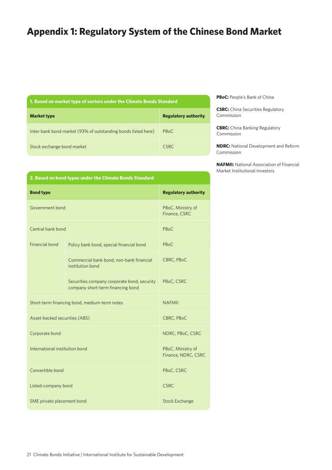### **Appendix 1: Regulatory System of the Chinese Bond Market**

| 1. Based on market type of sectors under the Climate Bonds Standard |  |  |  |  |
|---------------------------------------------------------------------|--|--|--|--|
|---------------------------------------------------------------------|--|--|--|--|

| <b>Market type</b>                                            | <b>Regulatory authority</b> |
|---------------------------------------------------------------|-----------------------------|
| Inter-bank bond market (93% of outstanding bonds listed here) | <b>PBoC</b>                 |
| Stock exchange bond market                                    | <b>CSRC</b>                 |

**PBoC:** People's Bank of China

**CSRC:** China Securities Regulatory Commission

**CBRC:** China Banking Regulatory Commission

**NDRC:** National Development and Reform Commission

**NAFMII:** National Association of Financial Market Institutional Investors

| 2. Based on bond types under the Climate Bonds Standard |   |
|---------------------------------------------------------|---|
| <b>Bond type</b>                                        | R |

| <b>Bond type</b>               | <b>Regulatory authority</b>                                                      |               |  |
|--------------------------------|----------------------------------------------------------------------------------|---------------|--|
| Government bond                | PBoC, Ministry of<br>Finance, CSRC                                               |               |  |
| Central bank bond              |                                                                                  | PBoC          |  |
| Financial bond                 | Policy bank bond, special financial bond                                         | PBoC          |  |
|                                | Commercial bank bond, non-bank financial<br>institution bond                     | CBRC, PBoC    |  |
|                                | Securities company corporate bond, security<br>company short-term financing bond | PBoC, CSRC    |  |
|                                | Short-term financing bond, medium-term notes                                     | <b>NAFMIL</b> |  |
| Asset-backed securities (ABS)  | CBRC, PBoC                                                                       |               |  |
| Corporate bond                 | NDRC, PBoC, CSRC                                                                 |               |  |
| International institution bond | PBoC, Ministry of<br>Finance, NDRC, CSRC                                         |               |  |
| Convertible bond               | PBoC, CSRC                                                                       |               |  |
| Listed-company bond            | <b>CSRC</b>                                                                      |               |  |
| SME private placement bond     | <b>Stock Exchange</b>                                                            |               |  |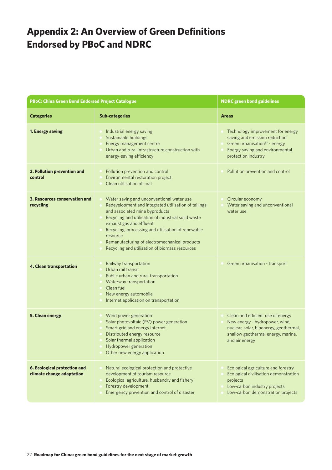### **Appendix 2: An Overview of Green Definitions Endorsed by PBoC and NDRC**

| <b>PBoC: China Green Bond Endorsed Project Catalogue</b>  |                                                                                                                                                                                                                                                                                                                                                                                             | <b>NDRC</b> green bond guidelines                                                                                                                                     |  |  |
|-----------------------------------------------------------|---------------------------------------------------------------------------------------------------------------------------------------------------------------------------------------------------------------------------------------------------------------------------------------------------------------------------------------------------------------------------------------------|-----------------------------------------------------------------------------------------------------------------------------------------------------------------------|--|--|
| <b>Categories</b>                                         | <b>Sub-categories</b>                                                                                                                                                                                                                                                                                                                                                                       | <b>Areas</b>                                                                                                                                                          |  |  |
| 1. Energy saving                                          | Industrial energy saving<br>Sustainable buildings<br>Energy management centre<br>Urban and rural infrastructure construction with<br>energy-saving efficiency                                                                                                                                                                                                                               | Technology improvement for energy<br>saving and emission reduction<br>Green urbanisation $37$ - energy<br>Energy saving and environmental<br>protection industry      |  |  |
| 2. Pollution prevention and<br>control                    | Pollution prevention and control<br>Environmental restoration project<br>Clean utilisation of coal                                                                                                                                                                                                                                                                                          | Pollution prevention and control                                                                                                                                      |  |  |
| 3. Resources conservation and<br>recycling                | Water saving and unconventional water use<br>Redevelopment and integrated utilisation of tailings<br>and associated mine byproducts<br>Recycling and utilisation of industrial solid waste<br>exhaust gas and effluent<br>Recycling, processing and utilisation of renewable<br>resource<br>Remanufacturing of electromechanical products<br>Recycling and utilisation of biomass resources | Circular economy<br>Water saving and unconventional<br>water use                                                                                                      |  |  |
| 4. Clean transportation                                   | Railway transportation<br>Urban rail transit<br>Public urban and rural transportation<br>Waterway transportation<br>Clean fuel<br>New energy automobile<br>Internet application on transportation                                                                                                                                                                                           | Green urbanisation - transport                                                                                                                                        |  |  |
| 5. Clean energy                                           | Wind power generation<br>Solar photovoltaic (PV) power generation<br>Smart grid and energy internet<br>Distributed energy resource<br>Solar thermal application<br>Hydropower generation<br>Other new energy application                                                                                                                                                                    | Clean and efficient use of energy<br>New energy - hydropower, wind,<br>nuclear, solar, bioenergy, geothermal,<br>shallow geothermal energy, marine,<br>and air energy |  |  |
| 6. Ecological protection and<br>climate change adaptation | Natural ecological protection and protective<br>development of tourism resource<br>Ecological agriculture, husbandry and fishery<br>Forestry development<br>Emergency prevention and control of disaster                                                                                                                                                                                    | Ecological agriculture and forestry<br>Ecological civilisation demonstration<br>projects<br>Low-carbon industry projects<br>Low-carbon demonstration projects         |  |  |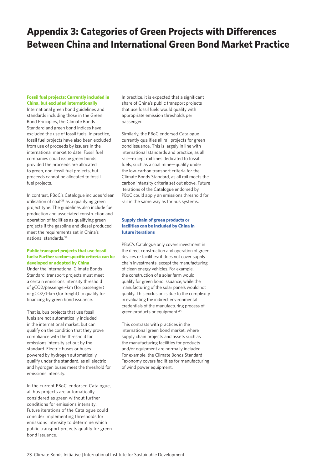### **Appendix 3: Categories of Green Projects with Differences Between China and International Green Bond Market Practice**

#### **Fossil fuel projects: Currently included in China, but excluded internationally**

International green bond guidelines and standards including those in the Green Bond Principles, the Climate Bonds Standard and green bond indices have excluded the use of fossil fuels. In practice, fossil fuel projects have also been excluded from use of proceeds by issuers in the international market to date. Fossil fuel companies could issue green bonds provided the proceeds are allocated to green, non-fossil fuel projects, but proceeds cannot be allocated to fossil fuel projects.

In contrast, PBoC's Catalogue includes 'clean utilisation of coal'38 as a qualifying green project type. The guidelines also include fuel production and associated construction and operation of facilities as qualifying green projects if the gasoline and diesel produced meet the requirements set in China's national standards.39

#### **Public transport projects that use fossil fuels: Further sector-specific criteria can be developed or adopted by China**

Under the international Climate Bonds Standard, transport projects must meet a certain emissions intensity threshold of gCO2/passenger-km (for passenger) or gCO2/t-km (for freight) to qualify for financing by green bond issuance.

That is, bus projects that use fossil fuels are not automatically included in the international market, but can qualify on the condition that they prove compliance with the threshold for emissions intensity set out by the standard. Electric buses or buses powered by hydrogen automatically qualify under the standard, as all electric and hydrogen buses meet the threshold for emissions intensity.

In the current PBoC-endorsed Catalogue, all bus projects are automatically considered as green without further conditions for emissions intensity. Future iterations of the Catalogue could consider implementing thresholds for emissions intensity to determine which public transport projects qualify for green bond issuance.

In practice, it is expected that a significant share of China's public transport projects that use fossil fuels would qualify with appropriate emission thresholds per passenger.

Similarly, the PBoC endorsed Catalogue currently qualifies all rail projects for green bond issuance. This is largely in line with international standards and practice, as all rail—except rail lines dedicated to fossil fuels, such as a coal mine—qualify under the low-carbon transport criteria for the Climate Bonds Standard, as all rail meets the carbon intensity criteria set out above. Future iterations of the Catalogue endorsed by PBoC could apply an emissions threshold for rail in the same way as for bus systems.

#### **Supply chain of green products or facilities can be included by China in future iterations**

PBoC's Catalogue only covers investment in the direct construction and operation of green devices or facilities: it does not cover supply chain investments, except the manufacturing of clean energy vehicles. For example, the construction of a solar farm would qualify for green bond issuance, while the manufacturing of the solar panels would not qualify. This exclusion is due to the complexity in evaluating the indirect environmental credentials of the manufacturing process of green products or equipment.<sup>40</sup>

This contrasts with practices in the international green bond market, where supply chain projects and assets such as the manufacturing facilities for products and/or equipment are normally included. For example, the Climate Bonds Standard Taxonomy covers facilities for manufacturing of wind power equipment.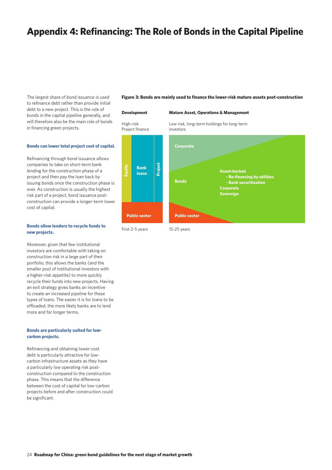### **Appendix 4: Refinancing: The Role of Bonds in the Capital Pipeline**

The largest share of bond issuance is used to refinance debt rather than provide initial debt to a new project. This is the role of bonds in the capital pipeline generally, and will therefore also be the main role of bonds in financing green projects.

#### **Bonds can lower total project cost of capital.**

Refinancing through bond issuance allows companies to take on short-term bank lending for the construction phase of a project and then pay the loan back by issuing bonds once the construction phase is over. As construction is usually the highest risk part of a project, bond issuance postconstruction can provide a longer-term lower cost of capital.

#### **Bonds allow lenders to recycle funds to new projects.**

Moreover, given that few institutional investors are comfortable with taking on construction risk in a large part of their portfolio, this allows the banks (and the smaller pool of institutional investors with a higher-risk appetite) to more quickly recycle their funds into new projects. Having an exit strategy gives banks an incentive to create an increased pipeline for these types of loans. The easier it is for loans to be offloaded, the more likely banks are to lend more and for longer terms.

#### **Bonds are particularly suited for lowcarbon projects.**

Refinancing and obtaining lower-cost debt is particularly attractive for lowcarbon infrastructure assets as they have a particularly low operating risk postconstruction compared to the construction phase. This means that the difference between the cost of capital for low-carbon projects before and after construction could be significant.

#### **Figure 3: Bonds are mainly used to finance the lower-risk mature assets post-construction**

### **Development** High-risk Project finance **Mature Asset, Operations & Management** Low-risk, long-term holdings for long-term investors **Corporate Bonds Public sector Public sector Bank loans**<br> **Equity**<br> **Equity**<br> **Equity Project**

First 2-5 years

**Asset-backed - Re-financing by utilities - Bank securitization Corporate Sovereign**

15-25 years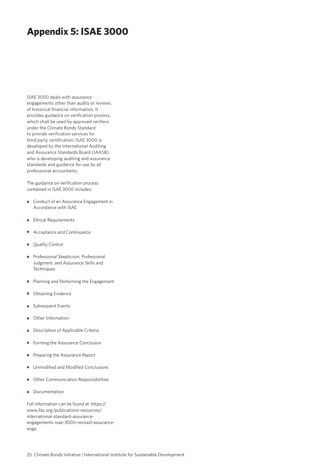### **Appendix 5: ISAE 3000**

ISAE 3000 deals with assurance engagements other than audits or reviews of historical financial information. It provides guidance on verification process, which shall be used by approved verifiers under the Climate Bonds Standard to provide verification services for third party certification. ISAE 3000 is developed by the International Auditing and Assurance Standards Board (IAASB), who is developing auditing and assurance standards and guidance for use by all professional accountants.

The guidance on verification process contained in ISAE 3000 includes:

- Conduct of an Assurance Engagement in Accordance with ISAE
- **Ethical Requirements**
- Acceptance and Continuance
- Quality Control  $\bullet$
- Professional Skepticism, Professional  $\bullet$ Judgment, and Assurance Skills and **Techniques**
- Planning and Performing the Engagement
- Obtaining Evidence  $\bullet$
- Subsequent Events  $\bullet$
- Other Information  $\bullet$
- **•** Description of Applicable Criteria
- **•** Forming the Assurance Conclusion
- **•** Preparing the Assurance Report
- **•** Unmodified and Modified Conclusions
- Other Communication Responsibilities
- Documentation

Full information can be found at: https:// www.ifac.org/publications-resources/ international-standard-assuranceengagements-isae-3000-revised-assuranceenga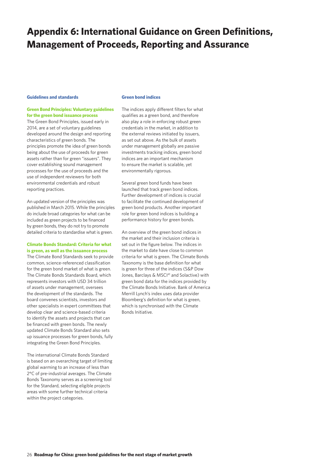### **Appendix 6: International Guidance on Green Definitions, Management of Proceeds, Reporting and Assurance**

#### **Guidelines and standards**

#### **Green Bond Principles: Voluntary guidelines for the green bond issuance process**

The Green Bond Principles, issued early in 2014, are a set of voluntary guidelines developed around the design and reporting characteristics of green bonds. The principles promote the idea of green bonds being about the use of proceeds for green assets rather than for green "issuers". They cover establishing sound management processes for the use of proceeds and the use of independent reviewers for both environmental credentials and robust reporting practices.

An updated version of the principles was published in March 2015. While the principles do include broad categories for what can be included as green projects to be financed by green bonds, they do not try to promote detailed criteria to standardise what is green.

#### **Climate Bonds Standard: Criteria for what is green, as well as the issuance process**

The Climate Bond Standards seek to provide common, science-referenced classification for the green bond market of what is green. The Climate Bonds Standards Board, which represents investors with USD 34 trillion of assets under management, oversees the development of the standards. The board convenes scientists, investors and other specialists in expert committees that develop clear and science-based criteria to identify the assets and projects that can be financed with green bonds. The newly updated Climate Bonds Standard also sets up issuance processes for green bonds, fully integrating the Green Bond Principles.

The international Climate Bonds Standard is based on an overarching target of limiting global warming to an increase of less than 2°C of pre-industrial averages. The Climate Bonds Taxonomy serves as a screening tool for the Standard, selecting eligible projects areas with some further technical criteria within the project categories.

#### **Green bond indices**

The indices apply different filters for what qualifies as a green bond, and therefore also play a role in enforcing robust green credentials in the market, in addition to the external reviews initiated by issuers, as set out above. As the bulk of assets under management globally are passive investments tracking indices, green bond indices are an important mechanism to ensure the market is scalable, yet environmentally rigorous.

Several green bond funds have been launched that track green bond indices. Further development of indices is crucial to facilitate the continued development of green bond products. Another important role for green bond indices is building a performance history for green bonds.

An overview of the green bond indices in the market and their inclusion criteria is set out in the figure below. The indices in the market to date have close to common criteria for what is green. The Climate Bonds Taxonomy is the base definition for what is green for three of the indices (S&P Dow Jones, Barclays & MSCI<sup>41</sup> and Solactive) with green bond data for the indices provided by the Climate Bonds Initiative. Bank of America Merrill Lynch's index uses data provider Bloomberg's definition for what is green, which is synchronised with the Climate Bonds Initiative.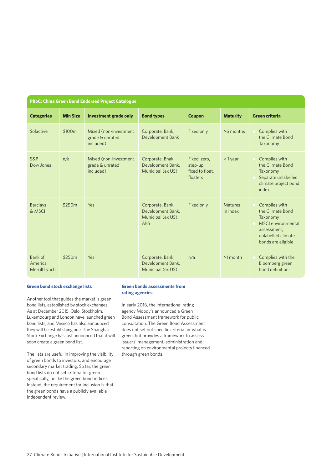| <b>PBoC: China Green Bond Endorsed Project Catalogue</b> |                 |                                                        |                                                                    |                                                         |                            |                                                                                                                                |
|----------------------------------------------------------|-----------------|--------------------------------------------------------|--------------------------------------------------------------------|---------------------------------------------------------|----------------------------|--------------------------------------------------------------------------------------------------------------------------------|
| <b>Categories</b>                                        | <b>Min Size</b> | <b>Investment grade only</b>                           | <b>Bond types</b>                                                  | <b>Coupon</b>                                           | <b>Maturity</b>            | <b>Green criteria</b>                                                                                                          |
| Solactive                                                | \$100m          | Mixed (non-investment)<br>grade & unrated<br>included) | Corporate, Bank,<br><b>Development Bank</b>                        | Fixed only                                              | >6 months                  | Complies with<br>the Climate Bond<br>Taxonomy                                                                                  |
| $S\&P$<br>Dow Jones                                      | n/a             | Mixed (non-investment)<br>grade & unrated<br>included) | Corporate, Bnak<br>Development Bank,<br>Municipal (ex US)          | Fixed, zero,<br>step-up,<br>fixed to float.<br>floaters | $>1$ year                  | Complies with<br>the Climate Bond<br>Taxonomy<br>Separate unlabelled<br>climate project bond<br>index                          |
| <b>Barclays</b><br>& MSCI                                | \$250m          | Yes                                                    | Corporate, Bank,<br>Development Bank,<br>Municipal (ex US),<br>ABS | Fixed only                                              | <b>Matures</b><br>in index | Complies with<br>the Climate Bond<br>Taxonomy<br>MSCI environmental<br>assessment,<br>unlabelled climate<br>bonds are eligible |
| Bank of<br>America<br>Merrill Lynch                      | \$250m          | Yes                                                    | Corporate, Bank,<br>Development Bank,<br>Municipal (ex US)         | n/a                                                     | $>1$ month                 | Complies with the<br>Bloomberg green<br>bond definition                                                                        |

#### **Green bond stock exchange lists**

Another tool that guides the market is green bond lists, established by stock exchanges. As at December 2015, Oslo, Stockholm, Luxembourg and London have launched green bond lists, and Mexico has also announced they will be establishing one. The Shanghai Stock Exchange has just announced that it will soon create a green bond list.

The lists are useful in improving the visibility of green bonds to investors, and encourage secondary market trading. So far, the green bond lists do not set criteria for green specifically, unlike the green bond indices. Instead, the requirement for inclusion is that the green bonds have a publicly available independent review.

#### **Green bonds assessments from rating agencies**

In early 2016, the international rating agency Moody's announced a Green Bond Assessment framework for public consultation. The Green Bond Assessment does not set out specific criteria for what is green, but provides a framework to assess issuers' management, administration and reporting on environmental projects financed through green bonds.